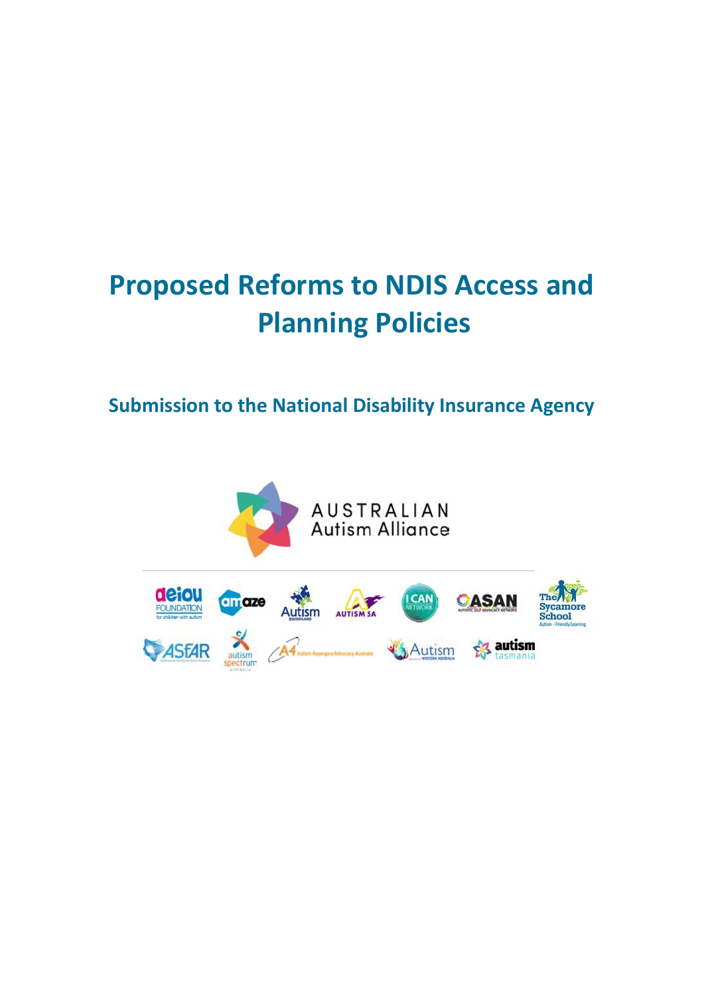# **Proposed Reforms to NDIS Access and Planning Policies**

## **Submission to the National Disability Insurance Agency**

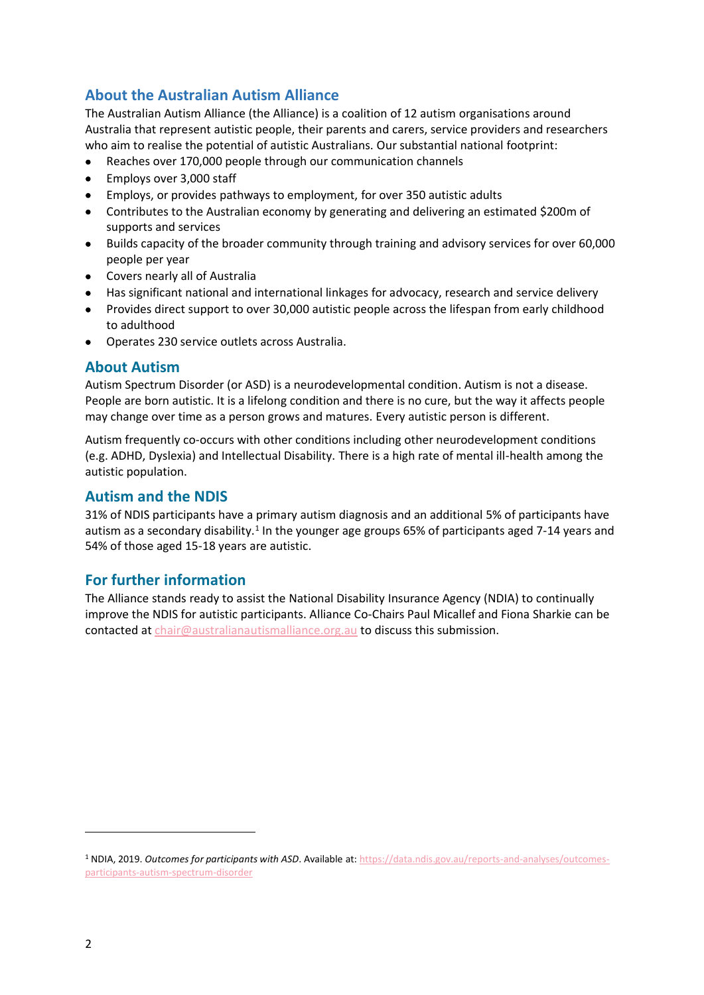## **About the Australian Autism Alliance**

The Australian Autism Alliance (the Alliance) is a coalition of 12 autism organisations around Australia that represent autistic people, their parents and carers, service providers and researchers who aim to realise the potential of autistic Australians. Our substantial national footprint:

- Reaches over 170,000 people through our communication channels
- Employs over 3,000 staff
- Employs, or provides pathways to employment, for over 350 autistic adults
- Contributes to the Australian economy by generating and delivering an estimated \$200m of supports and services
- Builds capacity of the broader community through training and advisory services for over 60,000 people per year
- Covers nearly all of Australia
- Has significant national and international linkages for advocacy, research and service delivery
- Provides direct support to over 30,000 autistic people across the lifespan from early childhood to adulthood
- Operates 230 service outlets across Australia.

## **About Autism**

Autism Spectrum Disorder (or ASD) is a neurodevelopmental condition. Autism is not a disease. People are born autistic. It is a lifelong condition and there is no cure, but the way it affects people may change over time as a person grows and matures. Every autistic person is different.

Autism frequently co-occurs with other conditions including other neurodevelopment conditions (e.g. ADHD, Dyslexia) and Intellectual Disability. There is a high rate of mental ill-health among the autistic population.

## **Autism and the NDIS**

31% of NDIS participants have a primary autism diagnosis and an additional 5% of participants have autism as a secondary disability.<sup>1</sup> In the younger age groups 65% of participants aged 7-14 years and 54% of those aged 15-18 years are autistic.

## **For further information**

The Alliance stands ready to assist the National Disability Insurance Agency (NDIA) to continually improve the NDIS for autistic participants. Alliance Co-Chairs Paul Micallef and Fiona Sharkie can be contacted a[t chair@australianautismalliance.org.au](mailto:chair@australianautismalliance.org.au) to discuss this submission.

<sup>1</sup> NDIA, 2019. *Outcomes for participants with ASD*. Available at: [https://data.ndis.gov.au/reports-and-analyses/outcomes](https://data.ndis.gov.au/reports-and-analyses/outcomes-participants-autism-spectrum-disorder)[participants-autism-spectrum-disorder](https://data.ndis.gov.au/reports-and-analyses/outcomes-participants-autism-spectrum-disorder)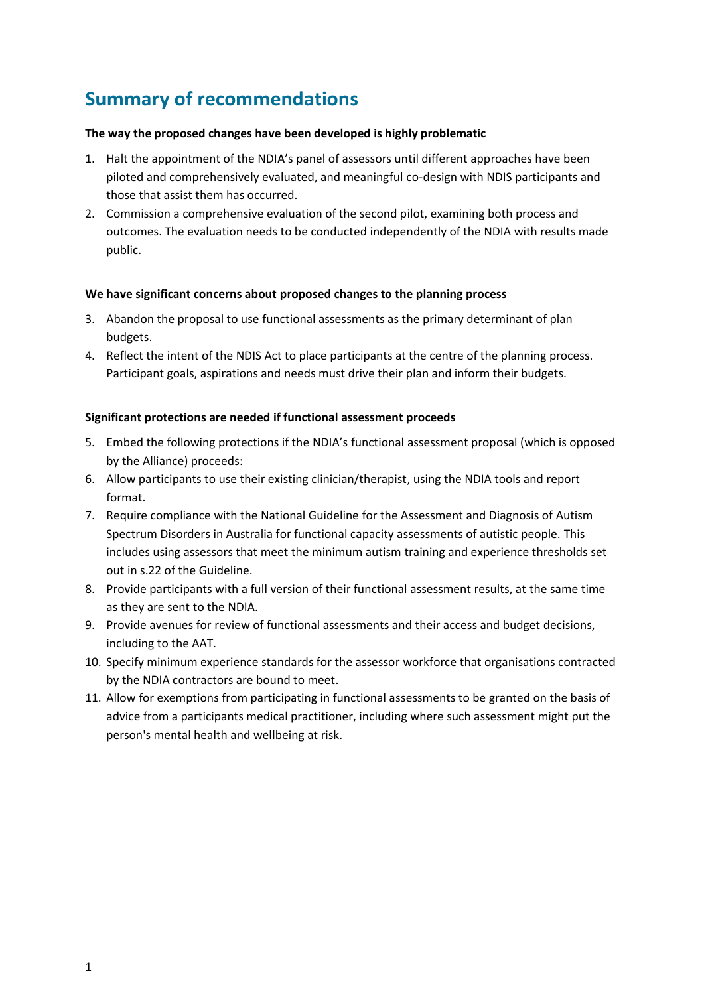## **Summary of recommendations**

## **The way the proposed changes have been developed is highly problematic**

- 1. Halt the appointment of the NDIA's panel of assessors until different approaches have been piloted and comprehensively evaluated, and meaningful co-design with NDIS participants and those that assist them has occurred.
- 2. Commission a comprehensive evaluation of the second pilot, examining both process and outcomes. The evaluation needs to be conducted independently of the NDIA with results made public.

## **We have significant concerns about proposed changes to the planning process**

- 3. Abandon the proposal to use functional assessments as the primary determinant of plan budgets.
- 4. Reflect the intent of the NDIS Act to place participants at the centre of the planning process. Participant goals, aspirations and needs must drive their plan and inform their budgets.

## **Significant protections are needed if functional assessment proceeds**

- 5. Embed the following protections if the NDIA's functional assessment proposal (which is opposed by the Alliance) proceeds:
- 6. Allow participants to use their existing clinician/therapist, using the NDIA tools and report format.
- 7. Require compliance with the National Guideline for the Assessment and Diagnosis of Autism Spectrum Disorders in Australia for functional capacity assessments of autistic people. This includes using assessors that meet the minimum autism training and experience thresholds set out in s.22 of the Guideline.
- 8. Provide participants with a full version of their functional assessment results, at the same time as they are sent to the NDIA.
- 9. Provide avenues for review of functional assessments and their access and budget decisions, including to the AAT.
- 10. Specify minimum experience standards for the assessor workforce that organisations contracted by the NDIA contractors are bound to meet.
- 11. Allow for exemptions from participating in functional assessments to be granted on the basis of advice from a participants medical practitioner, including where such assessment might put the person's mental health and wellbeing at risk.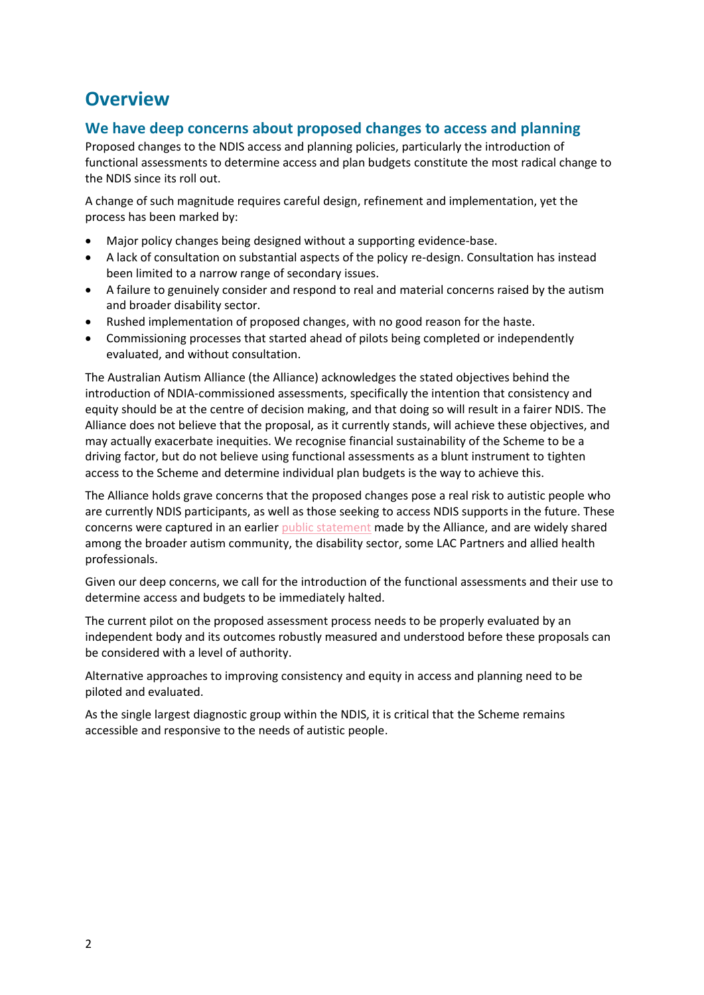## **Overview**

## **We have deep concerns about proposed changes to access and planning**

Proposed changes to the NDIS access and planning policies, particularly the introduction of functional assessments to determine access and plan budgets constitute the most radical change to the NDIS since its roll out.

A change of such magnitude requires careful design, refinement and implementation, yet the process has been marked by:

- Major policy changes being designed without a supporting evidence-base.
- A lack of consultation on substantial aspects of the policy re-design. Consultation has instead been limited to a narrow range of secondary issues.
- A failure to genuinely consider and respond to real and material concerns raised by the autism and broader disability sector.
- Rushed implementation of proposed changes, with no good reason for the haste.
- Commissioning processes that started ahead of pilots being completed or independently evaluated, and without consultation.

The Australian Autism Alliance (the Alliance) acknowledges the stated objectives behind the introduction of NDIA-commissioned assessments, specifically the intention that consistency and equity should be at the centre of decision making, and that doing so will result in a fairer NDIS. The Alliance does not believe that the proposal, as it currently stands, will achieve these objectives, and may actually exacerbate inequities. We recognise financial sustainability of the Scheme to be a driving factor, but do not believe using functional assessments as a blunt instrument to tighten access to the Scheme and determine individual plan budgets is the way to achieve this.

The Alliance holds grave concerns that the proposed changes pose a real risk to autistic people who are currently NDIS participants, as well as those seeking to access NDIS supports in the future. These concerns were captured in an earlier [public statement](https://australianautismalliance.org.au/home/independentassessments/) made by the Alliance, and are widely shared among the broader autism community, the disability sector, some LAC Partners and allied health professionals.

Given our deep concerns, we call for the introduction of the functional assessments and their use to determine access and budgets to be immediately halted.

The current pilot on the proposed assessment process needs to be properly evaluated by an independent body and its outcomes robustly measured and understood before these proposals can be considered with a level of authority.

Alternative approaches to improving consistency and equity in access and planning need to be piloted and evaluated.

As the single largest diagnostic group within the NDIS, it is critical that the Scheme remains accessible and responsive to the needs of autistic people.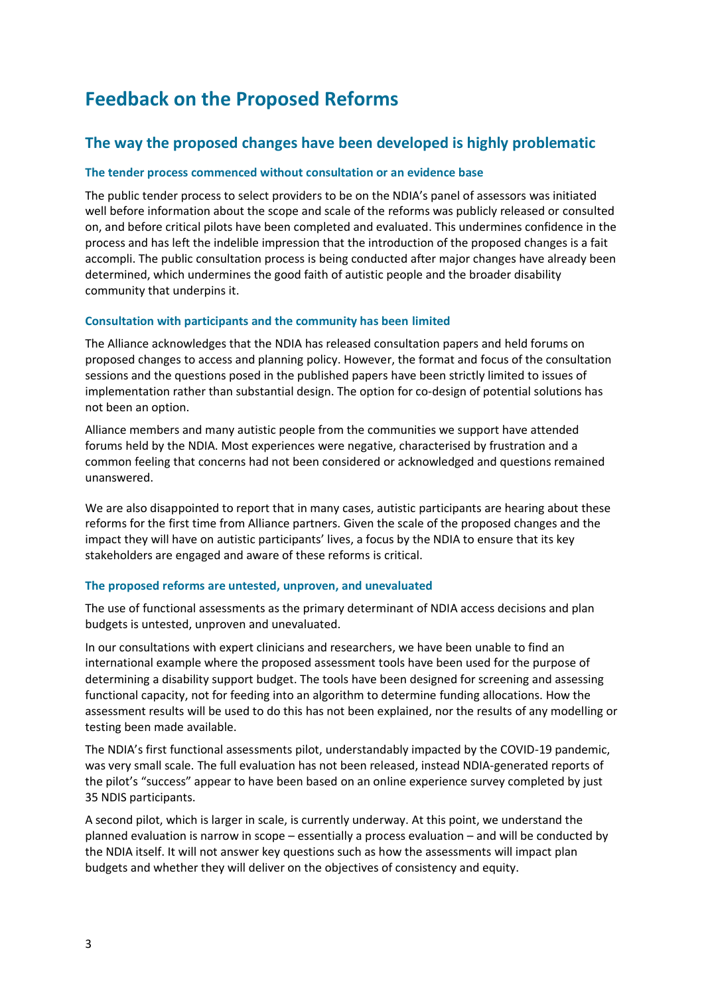## **Feedback on the Proposed Reforms**

## **The way the proposed changes have been developed is highly problematic**

## **The tender process commenced without consultation or an evidence base**

The public tender process to select providers to be on the NDIA's panel of assessors was initiated well before information about the scope and scale of the reforms was publicly released or consulted on, and before critical pilots have been completed and evaluated. This undermines confidence in the process and has left the indelible impression that the introduction of the proposed changes is a fait accompli. The public consultation process is being conducted after major changes have already been determined, which undermines the good faith of autistic people and the broader disability community that underpins it.

## **Consultation with participants and the community has been limited**

The Alliance acknowledges that the NDIA has released consultation papers and held forums on proposed changes to access and planning policy. However, the format and focus of the consultation sessions and the questions posed in the published papers have been strictly limited to issues of implementation rather than substantial design. The option for co-design of potential solutions has not been an option.

Alliance members and many autistic people from the communities we support have attended forums held by the NDIA. Most experiences were negative, characterised by frustration and a common feeling that concerns had not been considered or acknowledged and questions remained unanswered.

We are also disappointed to report that in many cases, autistic participants are hearing about these reforms for the first time from Alliance partners. Given the scale of the proposed changes and the impact they will have on autistic participants' lives, a focus by the NDIA to ensure that its key stakeholders are engaged and aware of these reforms is critical.

## **The proposed reforms are untested, unproven, and unevaluated**

The use of functional assessments as the primary determinant of NDIA access decisions and plan budgets is untested, unproven and unevaluated.

In our consultations with expert clinicians and researchers, we have been unable to find an international example where the proposed assessment tools have been used for the purpose of determining a disability support budget. The tools have been designed for screening and assessing functional capacity, not for feeding into an algorithm to determine funding allocations. How the assessment results will be used to do this has not been explained, nor the results of any modelling or testing been made available.

The NDIA's first functional assessments pilot, understandably impacted by the COVID-19 pandemic, was very small scale. The full evaluation has not been released, instead NDIA-generated reports of the pilot's "success" appear to have been based on an online experience survey completed by just 35 NDIS participants.

A second pilot, which is larger in scale, is currently underway. At this point, we understand the planned evaluation is narrow in scope – essentially a process evaluation – and will be conducted by the NDIA itself. It will not answer key questions such as how the assessments will impact plan budgets and whether they will deliver on the objectives of consistency and equity.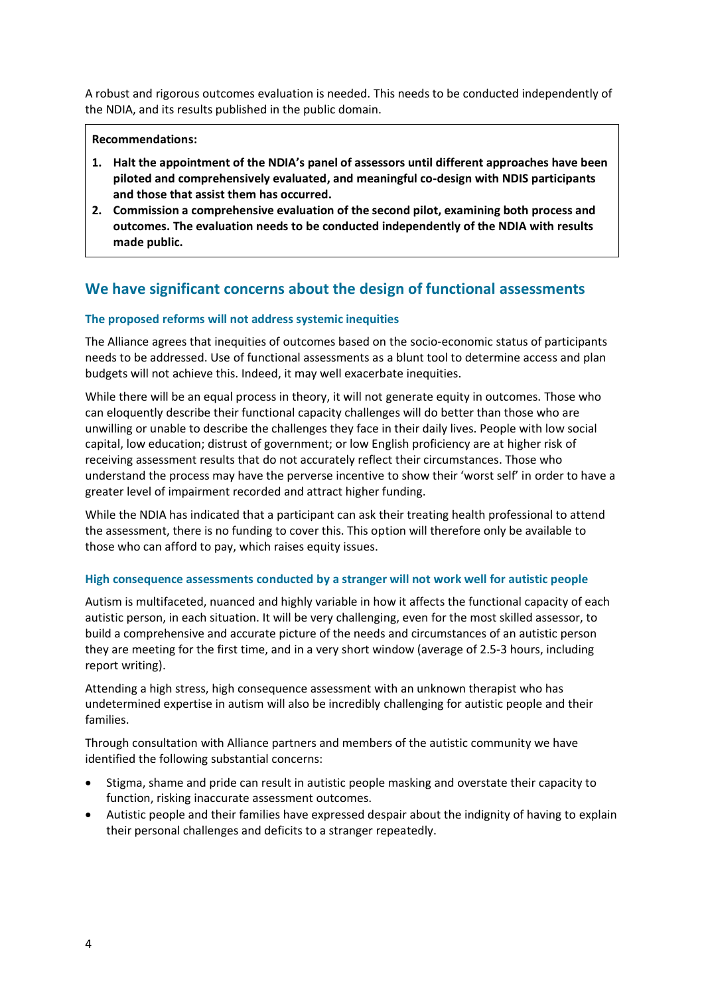A robust and rigorous outcomes evaluation is needed. This needs to be conducted independently of the NDIA, and its results published in the public domain.

#### **Recommendations:**

- **1. Halt the appointment of the NDIA's panel of assessors until different approaches have been piloted and comprehensively evaluated, and meaningful co-design with NDIS participants and those that assist them has occurred.**
- **2. Commission a comprehensive evaluation of the second pilot, examining both process and outcomes. The evaluation needs to be conducted independently of the NDIA with results made public.**

## **We have significant concerns about the design of functional assessments**

## **The proposed reforms will not address systemic inequities**

The Alliance agrees that inequities of outcomes based on the socio-economic status of participants needs to be addressed. Use of functional assessments as a blunt tool to determine access and plan budgets will not achieve this. Indeed, it may well exacerbate inequities.

While there will be an equal process in theory, it will not generate equity in outcomes. Those who can eloquently describe their functional capacity challenges will do better than those who are unwilling or unable to describe the challenges they face in their daily lives. People with low social capital, low education; distrust of government; or low English proficiency are at higher risk of receiving assessment results that do not accurately reflect their circumstances. Those who understand the process may have the perverse incentive to show their 'worst self' in order to have a greater level of impairment recorded and attract higher funding.

While the NDIA has indicated that a participant can ask their treating health professional to attend the assessment, there is no funding to cover this. This option will therefore only be available to those who can afford to pay, which raises equity issues.

## **High consequence assessments conducted by a stranger will not work well for autistic people**

Autism is multifaceted, nuanced and highly variable in how it affects the functional capacity of each autistic person, in each situation. It will be very challenging, even for the most skilled assessor, to build a comprehensive and accurate picture of the needs and circumstances of an autistic person they are meeting for the first time, and in a very short window (average of 2.5-3 hours, including report writing).

Attending a high stress, high consequence assessment with an unknown therapist who has undetermined expertise in autism will also be incredibly challenging for autistic people and their families.

Through consultation with Alliance partners and members of the autistic community we have identified the following substantial concerns:

- Stigma, shame and pride can result in autistic people masking and overstate their capacity to function, risking inaccurate assessment outcomes.
- Autistic people and their families have expressed despair about the indignity of having to explain their personal challenges and deficits to a stranger repeatedly.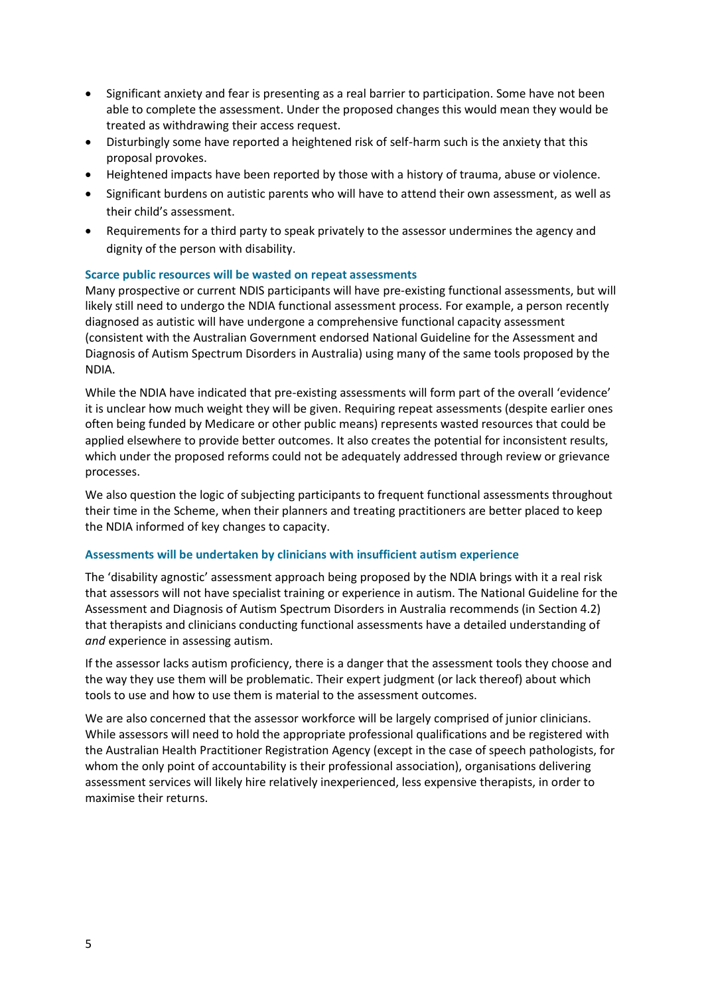- Significant anxiety and fear is presenting as a real barrier to participation. Some have not been able to complete the assessment. Under the proposed changes this would mean they would be treated as withdrawing their access request.
- Disturbingly some have reported a heightened risk of self-harm such is the anxiety that this proposal provokes.
- Heightened impacts have been reported by those with a history of trauma, abuse or violence.
- Significant burdens on autistic parents who will have to attend their own assessment, as well as their child's assessment.
- Requirements for a third party to speak privately to the assessor undermines the agency and dignity of the person with disability.

## **Scarce public resources will be wasted on repeat assessments**

Many prospective or current NDIS participants will have pre-existing functional assessments, but will likely still need to undergo the NDIA functional assessment process. For example, a person recently diagnosed as autistic will have undergone a comprehensive functional capacity assessment (consistent with the Australian Government endorsed National Guideline for the Assessment and Diagnosis of Autism Spectrum Disorders in Australia) using many of the same tools proposed by the NDIA.

While the NDIA have indicated that pre-existing assessments will form part of the overall 'evidence' it is unclear how much weight they will be given. Requiring repeat assessments (despite earlier ones often being funded by Medicare or other public means) represents wasted resources that could be applied elsewhere to provide better outcomes. It also creates the potential for inconsistent results, which under the proposed reforms could not be adequately addressed through review or grievance processes.

We also question the logic of subjecting participants to frequent functional assessments throughout their time in the Scheme, when their planners and treating practitioners are better placed to keep the NDIA informed of key changes to capacity.

## **Assessments will be undertaken by clinicians with insufficient autism experience**

The 'disability agnostic' assessment approach being proposed by the NDIA brings with it a real risk that assessors will not have specialist training or experience in autism. The National Guideline for the Assessment and Diagnosis of Autism Spectrum Disorders in Australia recommends (in Section 4.2) that therapists and clinicians conducting functional assessments have a detailed understanding of *and* experience in assessing autism.

If the assessor lacks autism proficiency, there is a danger that the assessment tools they choose and the way they use them will be problematic. Their expert judgment (or lack thereof) about which tools to use and how to use them is material to the assessment outcomes.

We are also concerned that the assessor workforce will be largely comprised of junior clinicians. While assessors will need to hold the appropriate professional qualifications and be registered with the Australian Health Practitioner Registration Agency (except in the case of speech pathologists, for whom the only point of accountability is their professional association), organisations delivering assessment services will likely hire relatively inexperienced, less expensive therapists, in order to maximise their returns.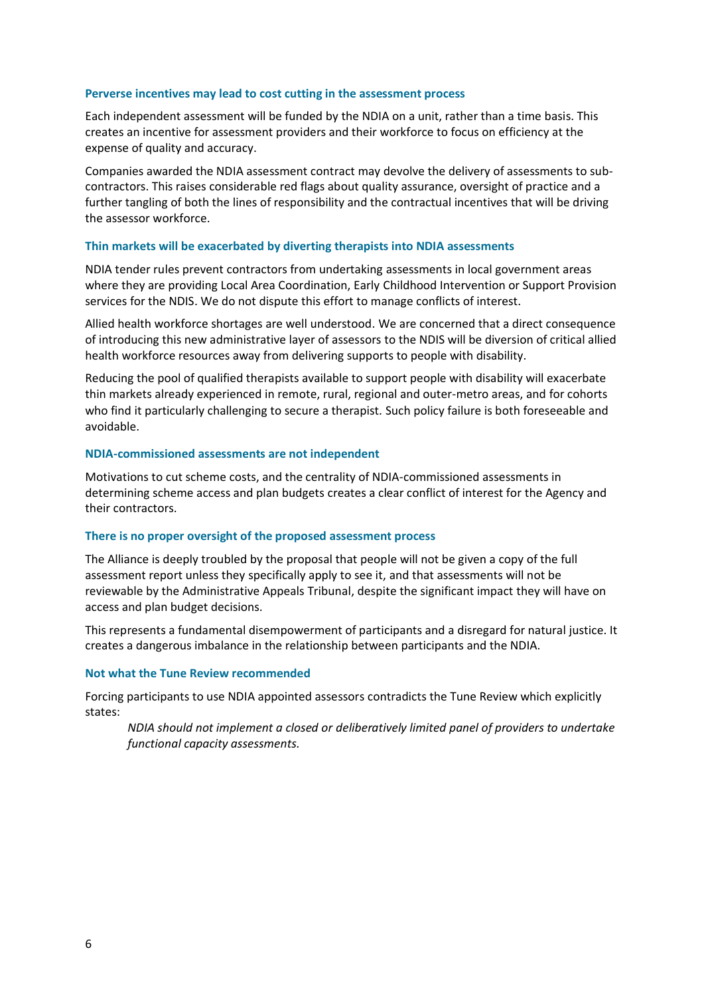#### **Perverse incentives may lead to cost cutting in the assessment process**

Each independent assessment will be funded by the NDIA on a unit, rather than a time basis. This creates an incentive for assessment providers and their workforce to focus on efficiency at the expense of quality and accuracy.

Companies awarded the NDIA assessment contract may devolve the delivery of assessments to subcontractors. This raises considerable red flags about quality assurance, oversight of practice and a further tangling of both the lines of responsibility and the contractual incentives that will be driving the assessor workforce.

#### **Thin markets will be exacerbated by diverting therapists into NDIA assessments**

NDIA tender rules prevent contractors from undertaking assessments in local government areas where they are providing Local Area Coordination, Early Childhood Intervention or Support Provision services for the NDIS. We do not dispute this effort to manage conflicts of interest.

Allied health workforce shortages are well understood. We are concerned that a direct consequence of introducing this new administrative layer of assessors to the NDIS will be diversion of critical allied health workforce resources away from delivering supports to people with disability.

Reducing the pool of qualified therapists available to support people with disability will exacerbate thin markets already experienced in remote, rural, regional and outer-metro areas, and for cohorts who find it particularly challenging to secure a therapist. Such policy failure is both foreseeable and avoidable.

#### **NDIA-commissioned assessments are not independent**

Motivations to cut scheme costs, and the centrality of NDIA-commissioned assessments in determining scheme access and plan budgets creates a clear conflict of interest for the Agency and their contractors.

#### **There is no proper oversight of the proposed assessment process**

The Alliance is deeply troubled by the proposal that people will not be given a copy of the full assessment report unless they specifically apply to see it, and that assessments will not be reviewable by the Administrative Appeals Tribunal, despite the significant impact they will have on access and plan budget decisions.

This represents a fundamental disempowerment of participants and a disregard for natural justice. It creates a dangerous imbalance in the relationship between participants and the NDIA.

#### **Not what the Tune Review recommended**

Forcing participants to use NDIA appointed assessors contradicts the Tune Review which explicitly states:

*NDIA should not implement a closed or deliberatively limited panel of providers to undertake functional capacity assessments.*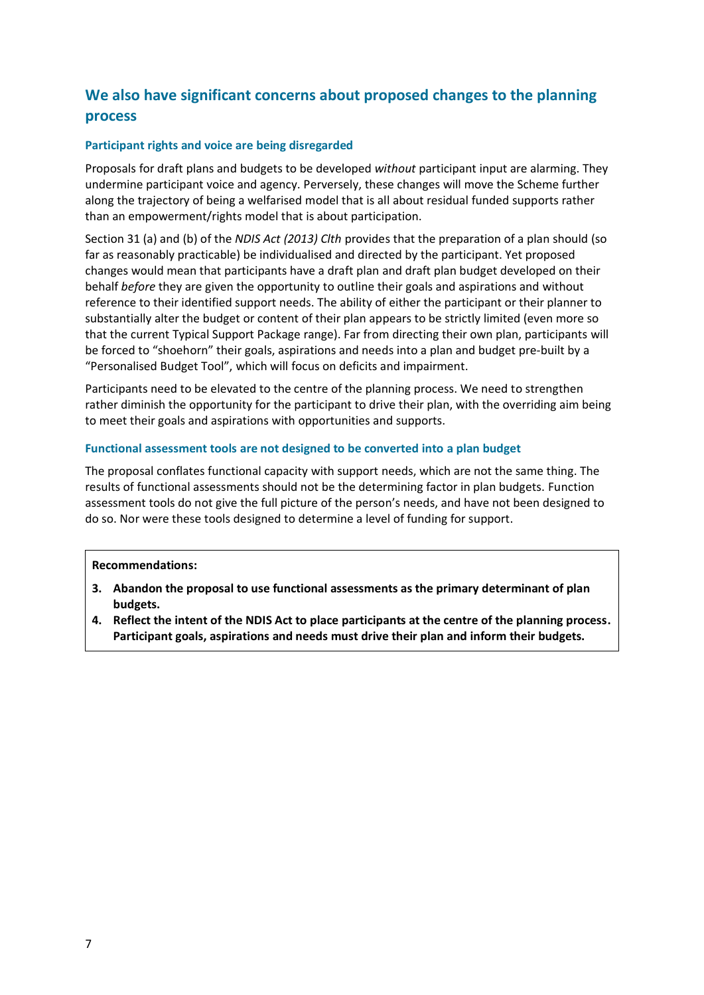## **We also have significant concerns about proposed changes to the planning process**

## **Participant rights and voice are being disregarded**

Proposals for draft plans and budgets to be developed *without* participant input are alarming. They undermine participant voice and agency. Perversely, these changes will move the Scheme further along the trajectory of being a welfarised model that is all about residual funded supports rather than an empowerment/rights model that is about participation.

Section 31 (a) and (b) of the *NDIS Act (2013) Clth* provides that the preparation of a plan should (so far as reasonably practicable) be individualised and directed by the participant. Yet proposed changes would mean that participants have a draft plan and draft plan budget developed on their behalf *before* they are given the opportunity to outline their goals and aspirations and without reference to their identified support needs. The ability of either the participant or their planner to substantially alter the budget or content of their plan appears to be strictly limited (even more so that the current Typical Support Package range). Far from directing their own plan, participants will be forced to "shoehorn" their goals, aspirations and needs into a plan and budget pre-built by a "Personalised Budget Tool", which will focus on deficits and impairment.

Participants need to be elevated to the centre of the planning process. We need to strengthen rather diminish the opportunity for the participant to drive their plan, with the overriding aim being to meet their goals and aspirations with opportunities and supports.

## **Functional assessment tools are not designed to be converted into a plan budget**

The proposal conflates functional capacity with support needs, which are not the same thing. The results of functional assessments should not be the determining factor in plan budgets. Function assessment tools do not give the full picture of the person's needs, and have not been designed to do so. Nor were these tools designed to determine a level of funding for support.

## **Recommendations:**

- **3. Abandon the proposal to use functional assessments as the primary determinant of plan budgets.**
- **4. Reflect the intent of the NDIS Act to place participants at the centre of the planning process. Participant goals, aspirations and needs must drive their plan and inform their budgets.**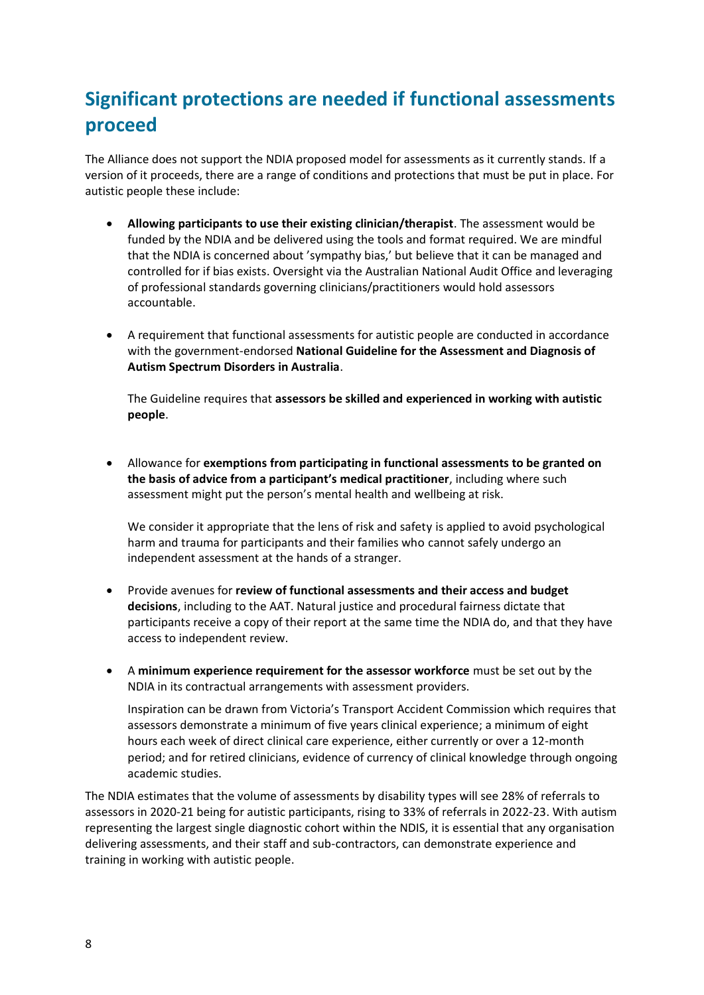## **Significant protections are needed if functional assessments proceed**

The Alliance does not support the NDIA proposed model for assessments as it currently stands. If a version of it proceeds, there are a range of conditions and protections that must be put in place. For autistic people these include:

- **Allowing participants to use their existing clinician/therapist**. The assessment would be funded by the NDIA and be delivered using the tools and format required. We are mindful that the NDIA is concerned about 'sympathy bias,' but believe that it can be managed and controlled for if bias exists. Oversight via the Australian National Audit Office and leveraging of professional standards governing clinicians/practitioners would hold assessors accountable.
- A requirement that functional assessments for autistic people are conducted in accordance with the government-endorsed **National Guideline for the Assessment and Diagnosis of Autism Spectrum Disorders in Australia**.

The Guideline requires that **assessors be skilled and experienced in working with autistic people**.

• Allowance for **exemptions from participating in functional assessments to be granted on the basis of advice from a participant's medical practitioner**, including where such assessment might put the person's mental health and wellbeing at risk.

We consider it appropriate that the lens of risk and safety is applied to avoid psychological harm and trauma for participants and their families who cannot safely undergo an independent assessment at the hands of a stranger.

- Provide avenues for **review of functional assessments and their access and budget decisions**, including to the AAT. Natural justice and procedural fairness dictate that participants receive a copy of their report at the same time the NDIA do, and that they have access to independent review.
- A **minimum experience requirement for the assessor workforce** must be set out by the NDIA in its contractual arrangements with assessment providers.

Inspiration can be drawn from Victoria's Transport Accident Commission which requires that assessors demonstrate a minimum of five years clinical experience; a minimum of eight hours each week of direct clinical care experience, either currently or over a 12-month period; and for retired clinicians, evidence of currency of clinical knowledge through ongoing academic studies.

The NDIA estimates that the volume of assessments by disability types will see 28% of referrals to assessors in 2020-21 being for autistic participants, rising to 33% of referrals in 2022-23. With autism representing the largest single diagnostic cohort within the NDIS, it is essential that any organisation delivering assessments, and their staff and sub-contractors, can demonstrate experience and training in working with autistic people.